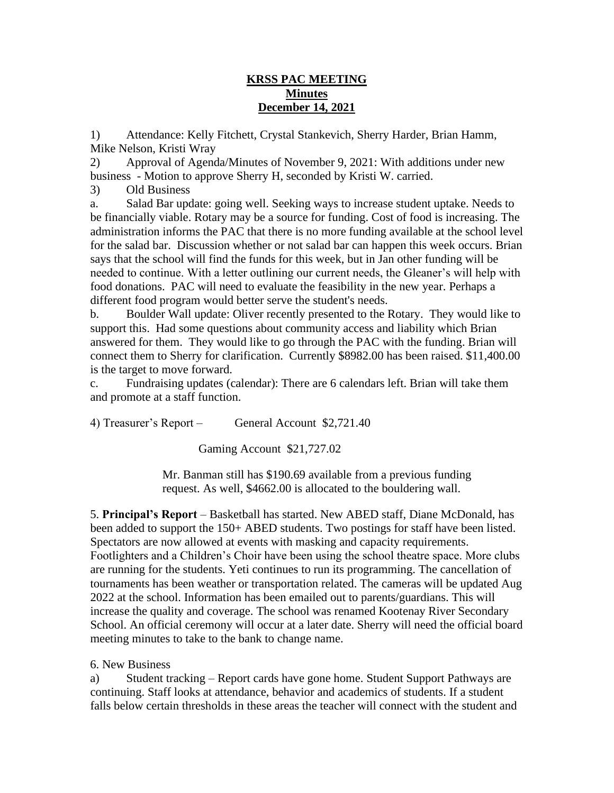## **KRSS PAC MEETING Minutes December 14, 2021**

1) Attendance: Kelly Fitchett, Crystal Stankevich, Sherry Harder, Brian Hamm, Mike Nelson, Kristi Wray

2) Approval of Agenda/Minutes of November 9, 2021: With additions under new business - Motion to approve Sherry H, seconded by Kristi W. carried.

3) Old Business

a. Salad Bar update: going well. Seeking ways to increase student uptake. Needs to be financially viable. Rotary may be a source for funding. Cost of food is increasing. The administration informs the PAC that there is no more funding available at the school level for the salad bar. Discussion whether or not salad bar can happen this week occurs. Brian says that the school will find the funds for this week, but in Jan other funding will be needed to continue. With a letter outlining our current needs, the Gleaner's will help with food donations. PAC will need to evaluate the feasibility in the new year. Perhaps a different food program would better serve the student's needs.

b. Boulder Wall update: Oliver recently presented to the Rotary. They would like to support this. Had some questions about community access and liability which Brian answered for them. They would like to go through the PAC with the funding. Brian will connect them to Sherry for clarification. Currently \$8982.00 has been raised. \$11,400.00 is the target to move forward.

c. Fundraising updates (calendar): There are 6 calendars left. Brian will take them and promote at a staff function.

4) Treasurer's Report – General Account \$2,721.40

Gaming Account \$21,727.02

Mr. Banman still has \$190.69 available from a previous funding request. As well, \$4662.00 is allocated to the bouldering wall.

5. **Principal's Report** – Basketball has started. New ABED staff, Diane McDonald, has been added to support the 150+ ABED students. Two postings for staff have been listed. Spectators are now allowed at events with masking and capacity requirements. Footlighters and a Children's Choir have been using the school theatre space. More clubs are running for the students. Yeti continues to run its programming. The cancellation of tournaments has been weather or transportation related. The cameras will be updated Aug 2022 at the school. Information has been emailed out to parents/guardians. This will increase the quality and coverage. The school was renamed Kootenay River Secondary School. An official ceremony will occur at a later date. Sherry will need the official board meeting minutes to take to the bank to change name.

6. New Business

a) Student tracking – Report cards have gone home. Student Support Pathways are continuing. Staff looks at attendance, behavior and academics of students. If a student falls below certain thresholds in these areas the teacher will connect with the student and